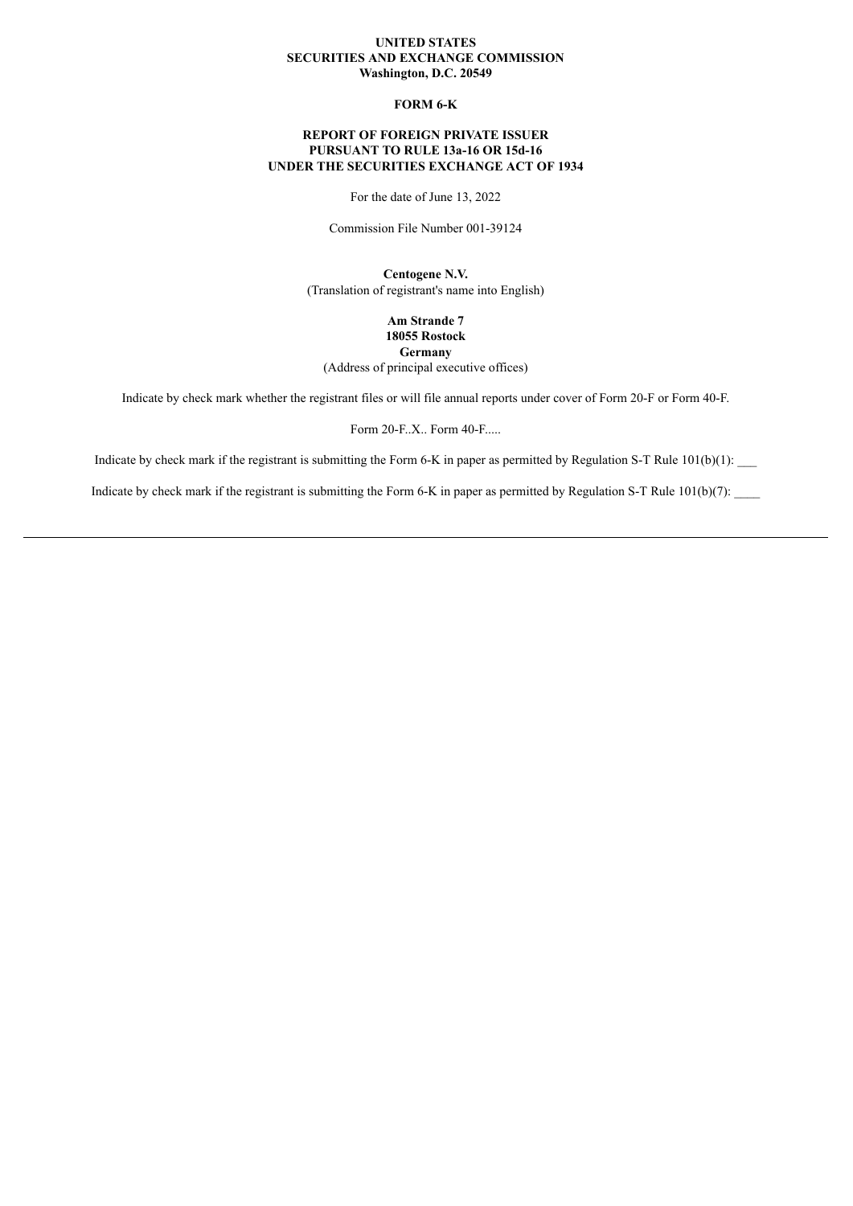#### **UNITED STATES SECURITIES AND EXCHANGE COMMISSION Washington, D.C. 20549**

## **FORM 6-K**

## **REPORT OF FOREIGN PRIVATE ISSUER PURSUANT TO RULE 13a-16 OR 15d-16 UNDER THE SECURITIES EXCHANGE ACT OF 1934**

For the date of June 13, 2022

Commission File Number 001-39124

**Centogene N.V.** (Translation of registrant's name into English)

> **Am Strande 7 18055 Rostock Germany**

(Address of principal executive offices)

Indicate by check mark whether the registrant files or will file annual reports under cover of Form 20-F or Form 40-F.

Form 20-F..X.. Form 40-F.....

Indicate by check mark if the registrant is submitting the Form 6-K in paper as permitted by Regulation S-T Rule  $101(b)(1)$ :

Indicate by check mark if the registrant is submitting the Form 6-K in paper as permitted by Regulation S-T Rule  $101(b)(7)$ :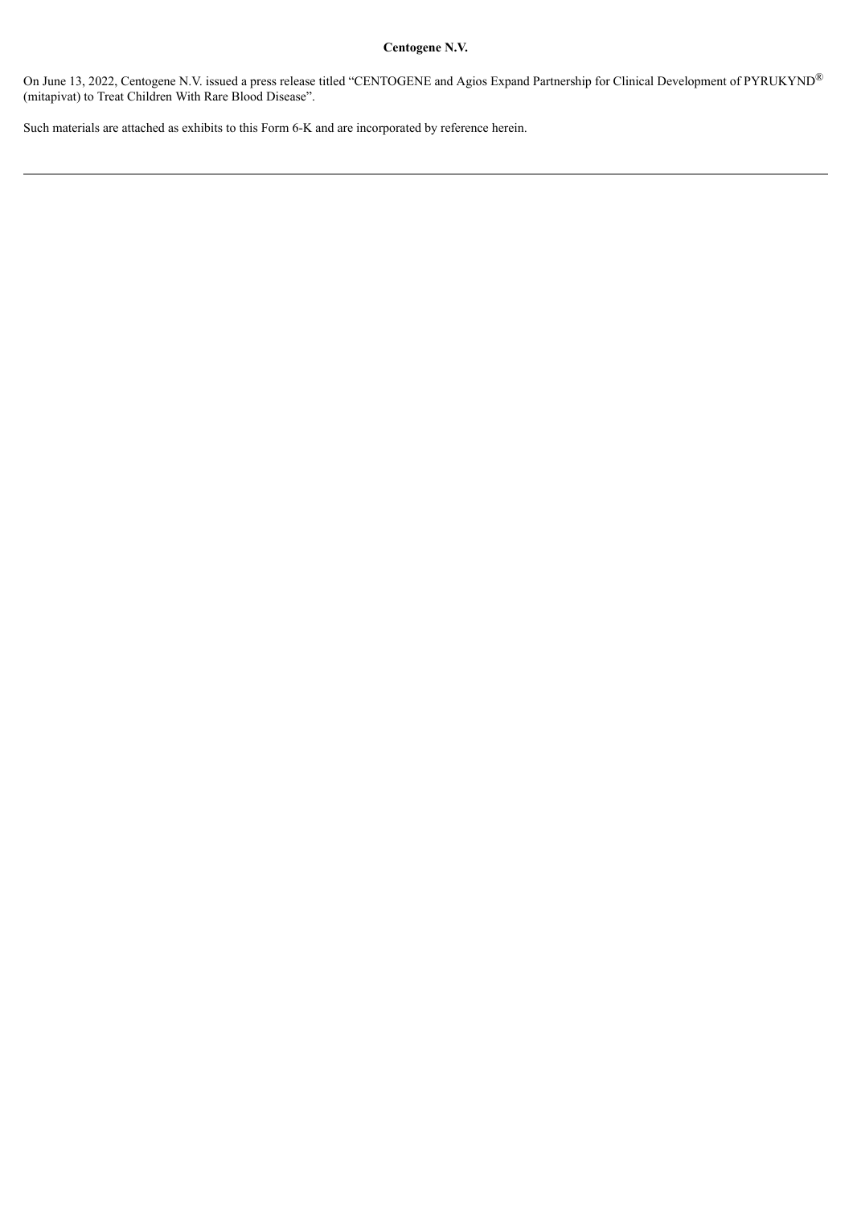## **Centogene N.V.**

On June 13, 2022, Centogene N.V. issued a press release titled "CENTOGENE and Agios Expand Partnership for Clinical Development of PYRUKYND® (mitapivat) to Treat Children With Rare Blood Disease".

Such materials are attached as exhibits to this Form 6-K and are incorporated by reference herein.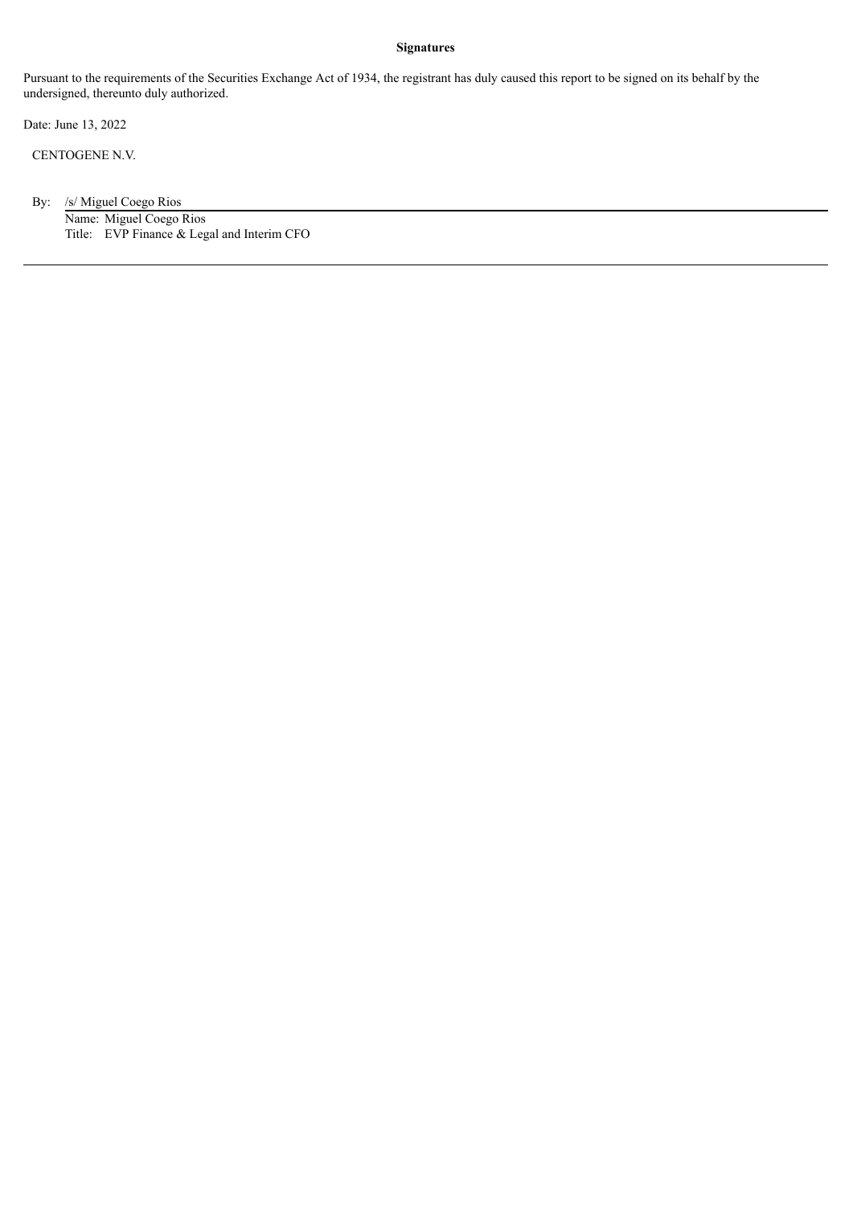#### **Signatures**

Pursuant to the requirements of the Securities Exchange Act of 1934, the registrant has duly caused this report to be signed on its behalf by the undersigned, thereunto duly authorized.

Date: June 13, 2022

CENTOGENE N.V.

By: /s/ Miguel Coego Rios Name: Miguel Coego Rios Title: EVP Finance & Legal and Interim CFO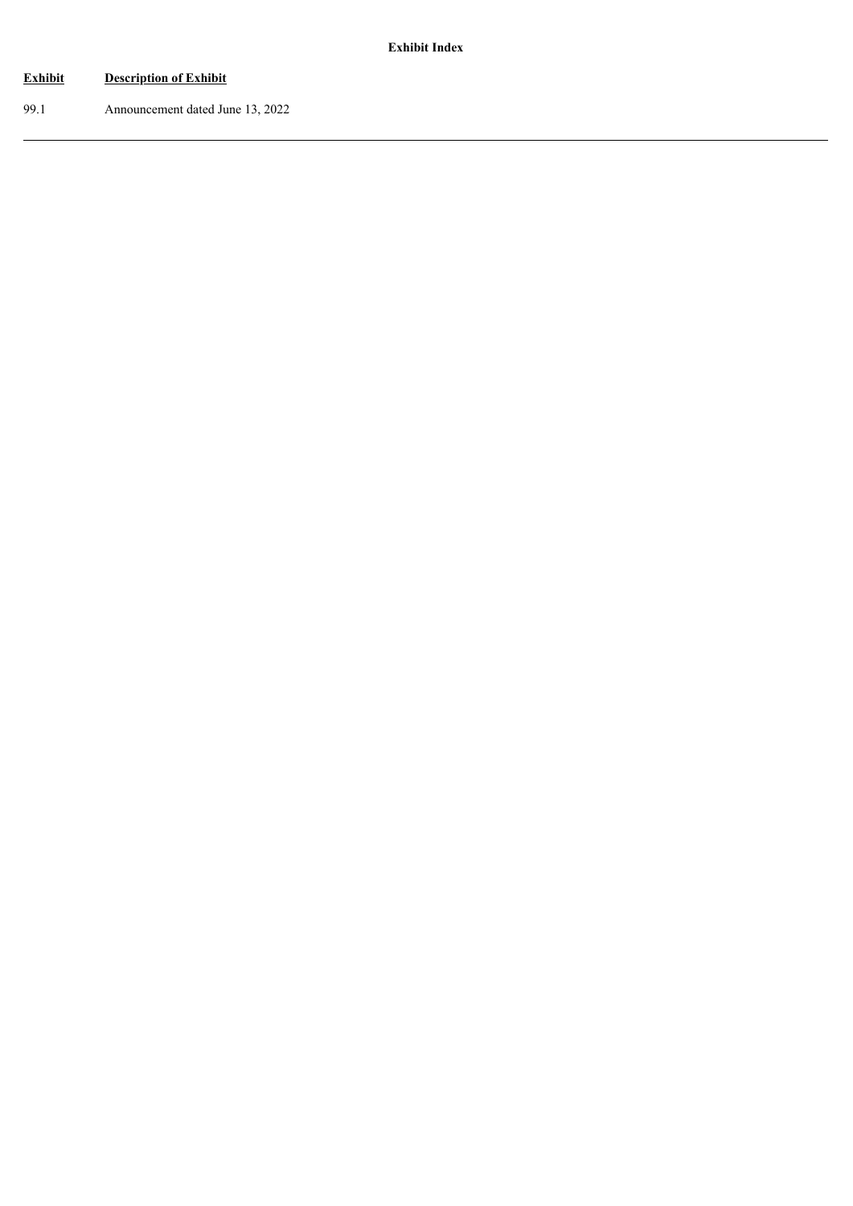# **Exhibit Description of Exhibit**

99.1 Announcement dated June 13, 2022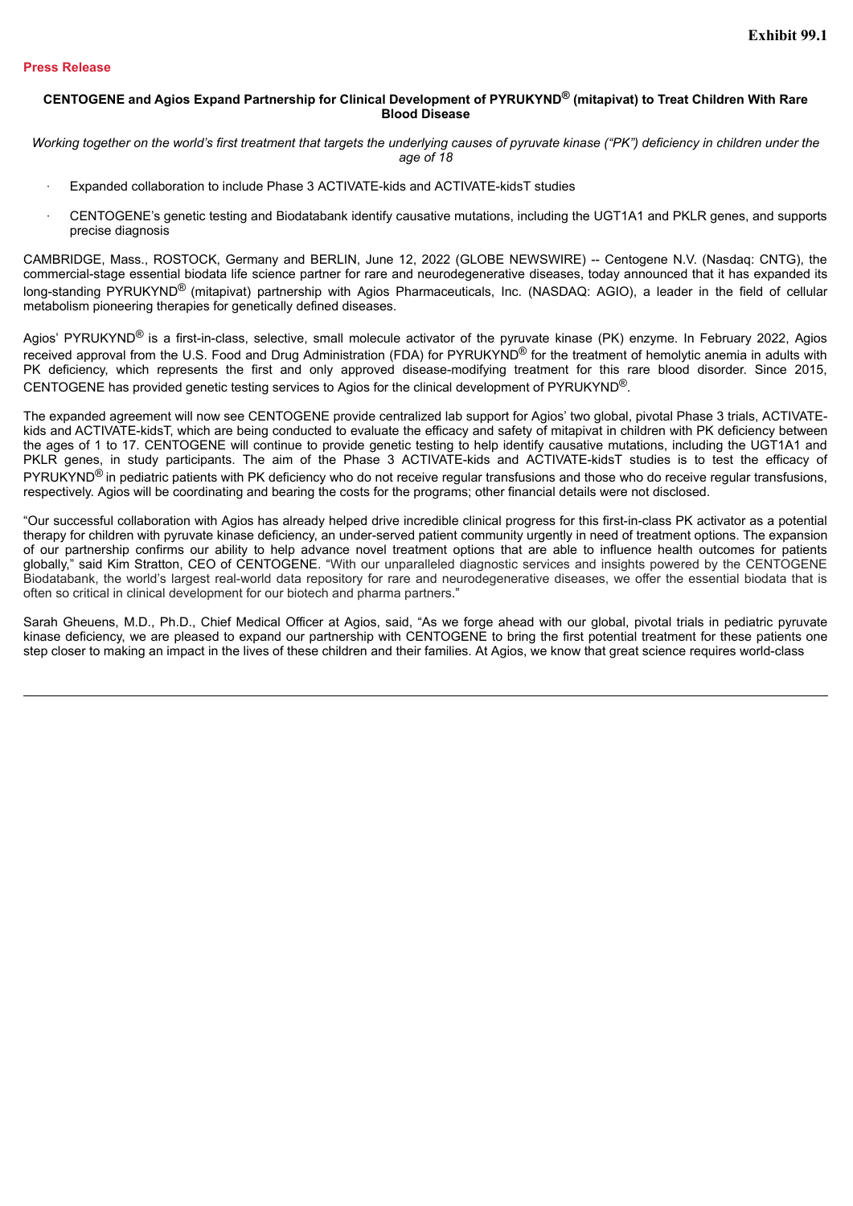#### **Press Release**

## CENTOGENE and Agios Expand Partnership for Clinical Development of PYRUKYND® (mitapivat) to Treat Children With Rare **Blood Disease**

Working together on the world's first treatment that targets the underlying causes of pyruvate kinase ("PK") deficiency in children under the *age of 18*

- · Expanded collaboration to include Phase 3 ACTIVATE-kids and ACTIVATE-kidsT studies
- · CENTOGENE's genetic testing and Biodatabank identify causative mutations, including the UGT1A1 and PKLR genes, and supports precise diagnosis

CAMBRIDGE, Mass., ROSTOCK, Germany and BERLIN, June 12, 2022 (GLOBE NEWSWIRE) -- Centogene N.V. (Nasdaq: CNTG), the commercial-stage essential biodata life science partner for rare and neurodegenerative diseases, today announced that it has expanded its long-standing PYRUKYND<sup>®</sup> (mitapivat) partnership with Agios Pharmaceuticals, Inc. (NASDAQ: AGIO), a leader in the field of cellular metabolism pioneering therapies for genetically defined diseases.

Agios' PYRUKYND<sup>®</sup> is a first-in-class, selective, small molecule activator of the pyruvate kinase (PK) enzyme. In February 2022, Agios received approval from the U.S. Food and Drug Administration (FDA) for PYRUKYND<sup>®</sup> for the treatment of hemolytic anemia in adults with PK deficiency, which represents the first and only approved disease-modifying treatment for this rare blood disorder. Since 2015, CENTOGENE has provided genetic testing services to Agios for the clinical development of PYRUKYND®.

The expanded agreement will now see CENTOGENE provide centralized lab support for Agios' two global, pivotal Phase 3 trials, ACTIVATEkids and ACTIVATE-kidsT, which are being conducted to evaluate the efficacy and safety of mitapivat in children with PK deficiency between the ages of 1 to 17. CENTOGENE will continue to provide genetic testing to help identify causative mutations, including the UGT1A1 and PKLR genes, in study participants. The aim of the Phase 3 ACTIVATE-kids and ACTIVATE-kidsT studies is to test the efficacy of  $PYRUKYND^@$  in pediatric patients with PK deficiency who do not receive regular transfusions and those who do receive regular transfusions, respectively. Agios will be coordinating and bearing the costs for the programs; other financial details were not disclosed.

"Our successful collaboration with Agios has already helped drive incredible clinical progress for this first-in-class PK activator as a potential therapy for children with pyruvate kinase deficiency, an under-served patient community urgently in need of treatment options. The expansion of our partnership confirms our ability to help advance novel treatment options that are able to influence health outcomes for patients globally," said Kim Stratton, CEO of CENTOGENE. "With our unparalleled diagnostic services and insights powered by the CENTOGENE Biodatabank, the world's largest real-world data repository for rare and neurodegenerative diseases, we offer the essential biodata that is often so critical in clinical development for our biotech and pharma partners."

Sarah Gheuens, M.D., Ph.D., Chief Medical Officer at Agios, said, "As we forge ahead with our global, pivotal trials in pediatric pyruvate kinase deficiency, we are pleased to expand our partnership with CENTOGENE to bring the first potential treatment for these patients one step closer to making an impact in the lives of these children and their families. At Agios, we know that great science requires world-class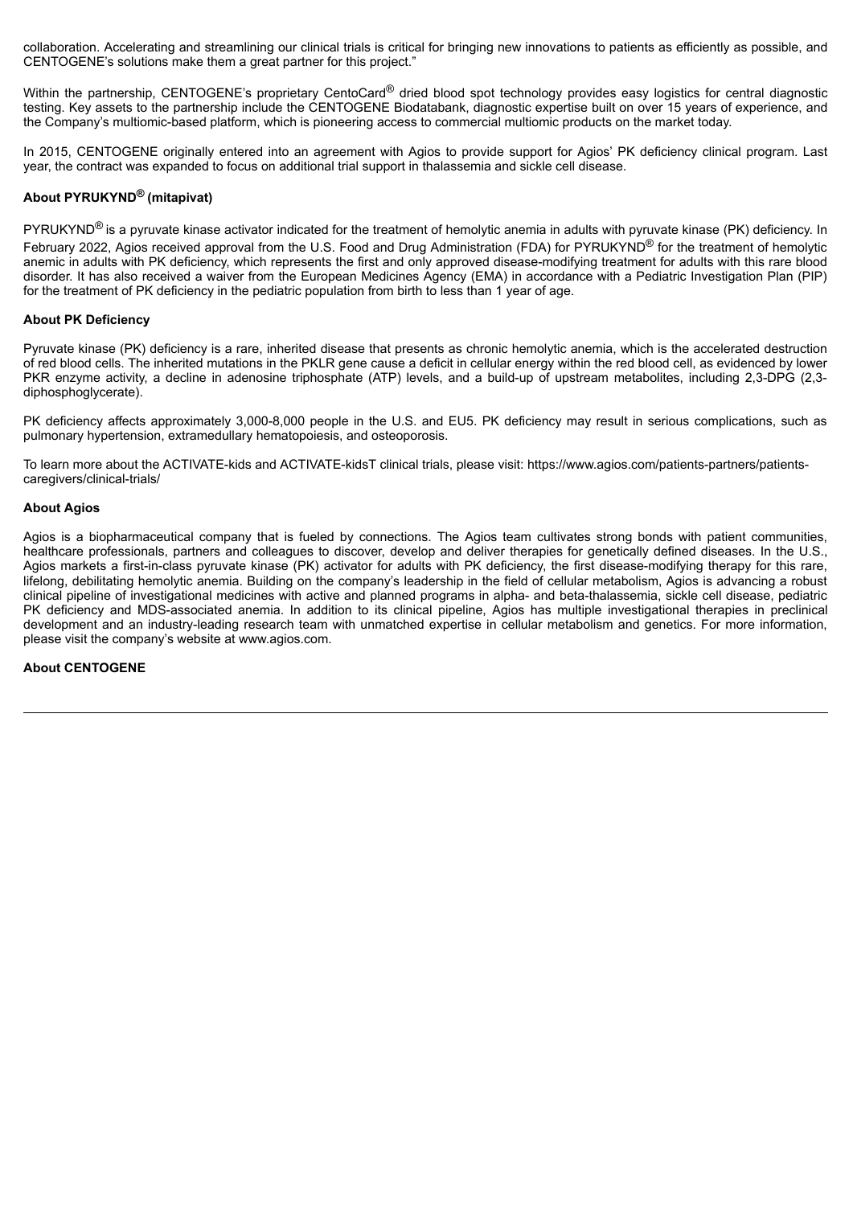collaboration. Accelerating and streamlining our clinical trials is critical for bringing new innovations to patients as efficiently as possible, and CENTOGENE's solutions make them a great partner for this project."

Within the partnership. CENTOGENE's proprietary CentoCard® dried blood spot technology provides easy logistics for central diagnostic testing. Key assets to the partnership include the CENTOGENE Biodatabank, diagnostic expertise built on over 15 years of experience, and the Company's multiomic-based platform, which is pioneering access to commercial multiomic products on the market today.

In 2015, CENTOGENE originally entered into an agreement with Agios to provide support for Agios' PK deficiency clinical program. Last year, the contract was expanded to focus on additional trial support in thalassemia and sickle cell disease.

## **About PYRUKYND ® (mitapivat)**

PYRUKYND<sup>®</sup> is a pyruvate kinase activator indicated for the treatment of hemolytic anemia in adults with pyruvate kinase (PK) deficiency. In February 2022, Agios received approval from the U.S. Food and Drug Administration (FDA) for PYRUKYND® for the treatment of hemolytic anemic in adults with PK deficiency, which represents the first and only approved disease-modifying treatment for adults with this rare blood disorder. It has also received a waiver from the European Medicines Agency (EMA) in accordance with a Pediatric Investigation Plan (PIP) for the treatment of PK deficiency in the pediatric population from birth to less than 1 year of age.

## **About PK Deficiency**

Pyruvate kinase (PK) deficiency is a rare, inherited disease that presents as chronic hemolytic anemia, which is the accelerated destruction of red blood cells. The inherited mutations in the PKLR gene cause a deficit in cellular energy within the red blood cell, as evidenced by lower PKR enzyme activity, a decline in adenosine triphosphate (ATP) levels, and a build-up of upstream metabolites, including 2,3-DPG (2,3 diphosphoglycerate).

PK deficiency affects approximately 3,000-8,000 people in the U.S. and EU5. PK deficiency may result in serious complications, such as pulmonary hypertension, extramedullary hematopoiesis, and osteoporosis.

To learn more about the ACTIVATE-kids and ACTIVATE-kidsT clinical trials, please visit: https://www.agios.com/patients-partners/patientscaregivers/clinical-trials/

## **About Agios**

Agios is a biopharmaceutical company that is fueled by connections. The Agios team cultivates strong bonds with patient communities, healthcare professionals, partners and colleagues to discover, develop and deliver therapies for genetically defined diseases. In the U.S., Agios markets a first-in-class pyruvate kinase (PK) activator for adults with PK deficiency, the first disease-modifying therapy for this rare, lifelong, debilitating hemolytic anemia. Building on the company's leadership in the field of cellular metabolism, Agios is advancing a robust clinical pipeline of investigational medicines with active and planned programs in alpha- and beta-thalassemia, sickle cell disease, pediatric PK deficiency and MDS-associated anemia. In addition to its clinical pipeline, Agios has multiple investigational therapies in preclinical development and an industry-leading research team with unmatched expertise in cellular metabolism and genetics. For more information, please visit the company's website at www.agios.com.

## **About CENTOGENE**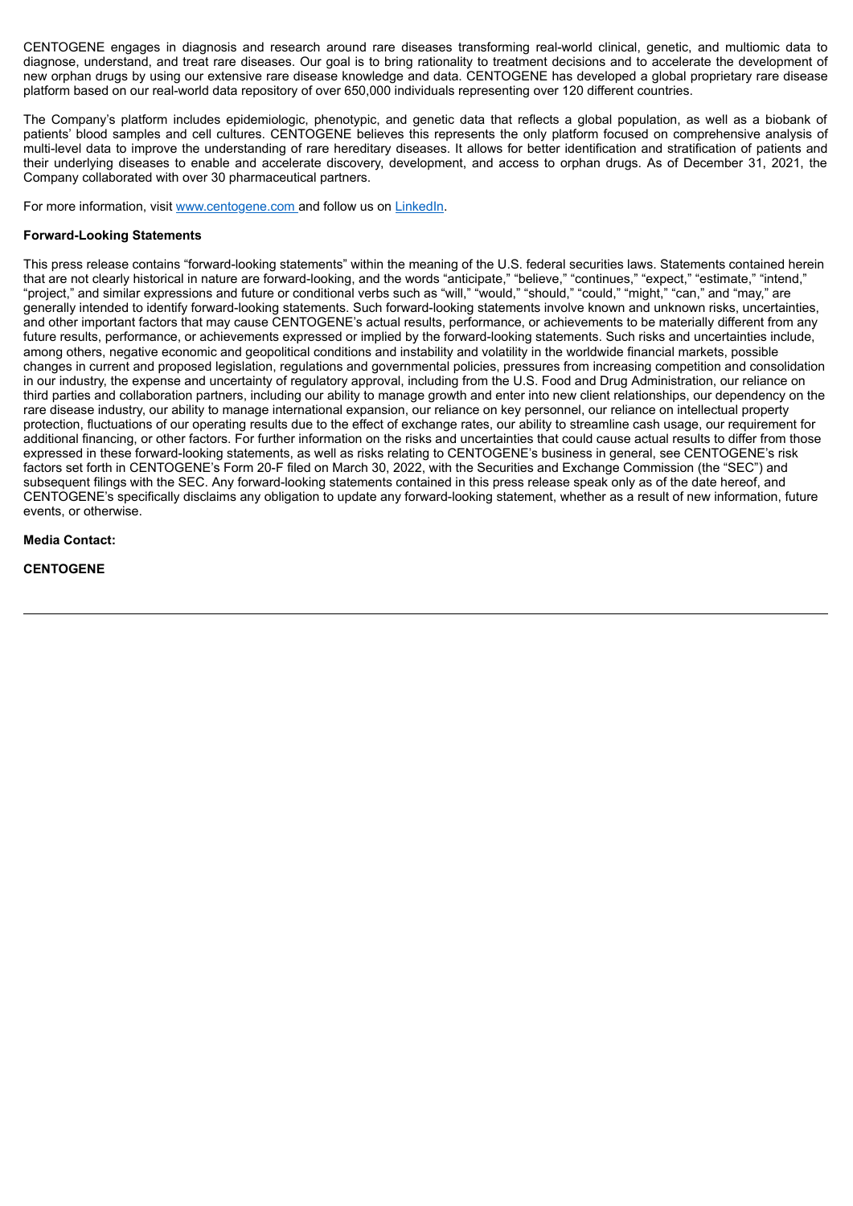CENTOGENE engages in diagnosis and research around rare diseases transforming real-world clinical, genetic, and multiomic data to diagnose, understand, and treat rare diseases. Our goal is to bring rationality to treatment decisions and to accelerate the development of new orphan drugs by using our extensive rare disease knowledge and data. CENTOGENE has developed a global proprietary rare disease platform based on our real-world data repository of over 650,000 individuals representing over 120 different countries.

The Company's platform includes epidemiologic, phenotypic, and genetic data that reflects a global population, as well as a biobank of patients' blood samples and cell cultures. CENTOGENE believes this represents the only platform focused on comprehensive analysis of multi-level data to improve the understanding of rare hereditary diseases. It allows for better identification and stratification of patients and their underlying diseases to enable and accelerate discovery, development, and access to orphan drugs. As of December 31, 2021, the Company collaborated with over 30 pharmaceutical partners.

For more information, visit www.centogene.com and follow us on LinkedIn.

## **Forward-Looking Statements**

This press release contains "forward-looking statements" within the meaning of the U.S. federal securities laws. Statements contained herein that are not clearly historical in nature are forward-looking, and the words "anticipate," "believe," "continues," "expect," "estimate," "intend," "project," and similar expressions and future or conditional verbs such as "will," "would," "should," "could," "might," "can," and "may," are generally intended to identify forward-looking statements. Such forward-looking statements involve known and unknown risks, uncertainties, and other important factors that may cause CENTOGENE's actual results, performance, or achievements to be materially different from any future results, performance, or achievements expressed or implied by the forward-looking statements. Such risks and uncertainties include, among others, negative economic and geopolitical conditions and instability and volatility in the worldwide financial markets, possible changes in current and proposed legislation, regulations and governmental policies, pressures from increasing competition and consolidation in our industry, the expense and uncertainty of regulatory approval, including from the U.S. Food and Drug Administration, our reliance on third parties and collaboration partners, including our ability to manage growth and enter into new client relationships, our dependency on the rare disease industry, our ability to manage international expansion, our reliance on key personnel, our reliance on intellectual property protection, fluctuations of our operating results due to the effect of exchange rates, our ability to streamline cash usage, our requirement for additional financing, or other factors. For further information on the risks and uncertainties that could cause actual results to differ from those expressed in these forward-looking statements, as well as risks relating to CENTOGENE's business in general, see CENTOGENE's risk factors set forth in CENTOGENE's Form 20-F filed on March 30, 2022, with the Securities and Exchange Commission (the "SEC") and subsequent filings with the SEC. Any forward-looking statements contained in this press release speak only as of the date hereof, and CENTOGENE's specifically disclaims any obligation to update any forward-looking statement, whether as a result of new information, future events, or otherwise.

## **Media Contact:**

## **CENTOGENE**